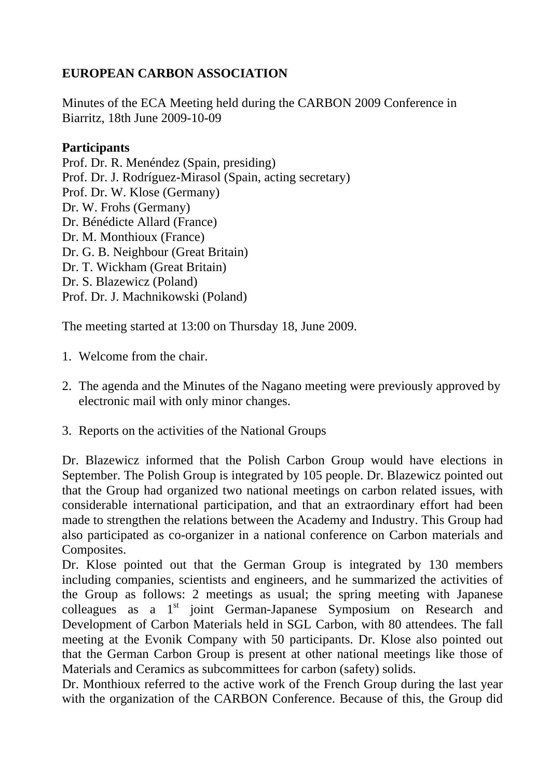## **EUROPEAN CARBON ASSOCIATION**

Minutes of the ECA Meeting held during the CARBON 2009 Conference in Biarritz, 18th June 2009-10-09

## **Participants**

Prof. Dr. R. Menéndez (Spain, presiding) Prof. Dr. J. Rodríguez-Mirasol (Spain, acting secretary) Prof. Dr. W. Klose (Germany) Dr. W. Frohs (Germany) Dr. Bénédicte Allard (France) Dr. M. Monthioux (France) Dr. G. B. Neighbour (Great Britain) Dr. T. Wickham (Great Britain) Dr. S. Blazewicz (Poland) Prof. Dr. J. Machnikowski (Poland)

The meeting started at 13:00 on Thursday 18, June 2009.

- 1. Welcome from the chair.
- 2. The agenda and the Minutes of the Nagano meeting were previously approved by electronic mail with only minor changes.
- 3. Reports on the activities of the National Groups

Dr. Blazewicz informed that the Polish Carbon Group would have elections in September. The Polish Group is integrated by 105 people. Dr. Blazewicz pointed out that the Group had organized two national meetings on carbon related issues, with considerable international participation, and that an extraordinary effort had been made to strengthen the relations between the Academy and Industry. This Group had also participated as co-organizer in a national conference on Carbon materials and Composites.

Dr. Klose pointed out that the German Group is integrated by 130 members including companies, scientists and engineers, and he summarized the activities of the Group as follows: 2 meetings as usual; the spring meeting with Japanese colleagues as a 1<sup>st</sup> joint German-Japanese Symposium on Research and Development of Carbon Materials held in SGL Carbon, with 80 attendees. The fall meeting at the Evonik Company with 50 participants. Dr. Klose also pointed out that the German Carbon Group is present at other national meetings like those of Materials and Ceramics as subcommittees for carbon (safety) solids.

Dr. Monthioux referred to the active work of the French Group during the last year with the organization of the CARBON Conference. Because of this, the Group did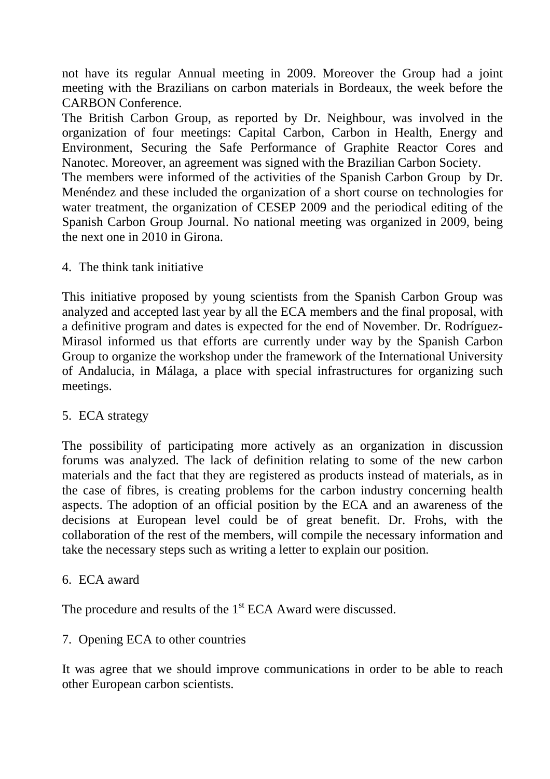not have its regular Annual meeting in 2009. Moreover the Group had a joint meeting with the Brazilians on carbon materials in Bordeaux, the week before the CARBON Conference.

The British Carbon Group, as reported by Dr. Neighbour, was involved in the organization of four meetings: Capital Carbon, Carbon in Health, Energy and Environment, Securing the Safe Performance of Graphite Reactor Cores and Nanotec. Moreover, an agreement was signed with the Brazilian Carbon Society.

The members were informed of the activities of the Spanish Carbon Group by Dr. Menéndez and these included the organization of a short course on technologies for water treatment, the organization of CESEP 2009 and the periodical editing of the Spanish Carbon Group Journal. No national meeting was organized in 2009, being the next one in 2010 in Girona.

4. The think tank initiative

This initiative proposed by young scientists from the Spanish Carbon Group was analyzed and accepted last year by all the ECA members and the final proposal, with a definitive program and dates is expected for the end of November. Dr. Rodríguez-Mirasol informed us that efforts are currently under way by the Spanish Carbon Group to organize the workshop under the framework of the International University of Andalucia, in Málaga, a place with special infrastructures for organizing such meetings.

## 5. ECA strategy

The possibility of participating more actively as an organization in discussion forums was analyzed. The lack of definition relating to some of the new carbon materials and the fact that they are registered as products instead of materials, as in the case of fibres, is creating problems for the carbon industry concerning health aspects. The adoption of an official position by the ECA and an awareness of the decisions at European level could be of great benefit. Dr. Frohs, with the collaboration of the rest of the members, will compile the necessary information and take the necessary steps such as writing a letter to explain our position.

6. ECA award

The procedure and results of the 1<sup>st</sup> ECA Award were discussed.

## 7. Opening ECA to other countries

It was agree that we should improve communications in order to be able to reach other European carbon scientists.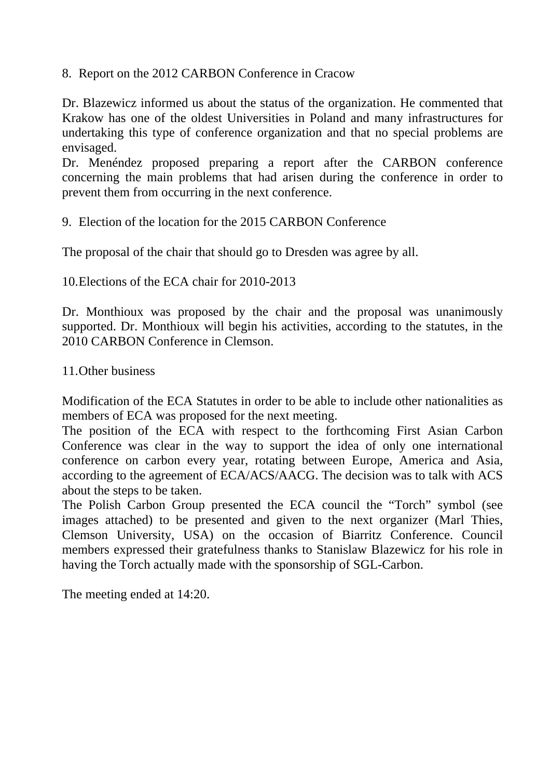8. Report on the 2012 CARBON Conference in Cracow

Dr. Blazewicz informed us about the status of the organization. He commented that Krakow has one of the oldest Universities in Poland and many infrastructures for undertaking this type of conference organization and that no special problems are envisaged.

Dr. Menéndez proposed preparing a report after the CARBON conference concerning the main problems that had arisen during the conference in order to prevent them from occurring in the next conference.

9. Election of the location for the 2015 CARBON Conference

The proposal of the chair that should go to Dresden was agree by all.

10.Elections of the ECA chair for 2010-2013

Dr. Monthioux was proposed by the chair and the proposal was unanimously supported. Dr. Monthioux will begin his activities, according to the statutes, in the 2010 CARBON Conference in Clemson.

11.Other business

Modification of the ECA Statutes in order to be able to include other nationalities as members of ECA was proposed for the next meeting.

The position of the ECA with respect to the forthcoming First Asian Carbon Conference was clear in the way to support the idea of only one international conference on carbon every year, rotating between Europe, America and Asia, according to the agreement of ECA/ACS/AACG. The decision was to talk with ACS about the steps to be taken.

The Polish Carbon Group presented the ECA council the "Torch" symbol (see images attached) to be presented and given to the next organizer (Marl Thies, Clemson University, USA) on the occasion of Biarritz Conference. Council members expressed their gratefulness thanks to Stanislaw Blazewicz for his role in having the Torch actually made with the sponsorship of SGL-Carbon.

The meeting ended at 14:20.